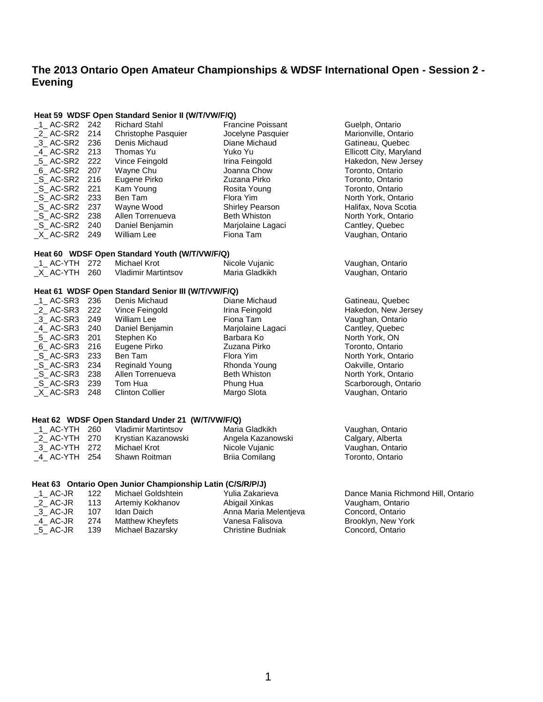# **The 2013 Ontario Open Amateur Championships & WDSF International Open - Session 2 - Evening**

#### **Heat 59 WDSF Open Standard Senior II (W/T/VW/F/Q)**

| 1 AC-SR2 242                         |     | <b>Richard Stahl</b>                               | <b>Francine Poissant</b> | Guelph, Ontario         |
|--------------------------------------|-----|----------------------------------------------------|--------------------------|-------------------------|
| 2 AC-SR2                             | 214 | Christophe Pasquier                                | Jocelyne Pasquier        | Marionville, Ontario    |
| $-3$ AC-SR2                          | 236 | Denis Michaud                                      | Diane Michaud            | Gatineau, Quebec        |
| 4 AC-SR2                             | 213 | Thomas Yu                                          | Yuko Yu                  | Ellicott City, Maryland |
| $-5$ AC-SR2                          | 222 | Vince Feingold                                     | Irina Feingold           | Hakedon, New Jersey     |
| 6 AC-SR2                             | 207 | Wayne Chu                                          | Joanna Chow              | Toronto, Ontario        |
| S AC-SR2                             | 216 | Eugene Pirko                                       | Zuzana Pirko             | Toronto, Ontario        |
| $\_S\_AC-SR2$                        | 221 | Kam Young                                          | Rosita Young             | Toronto, Ontario        |
| S AC-SR2                             | 233 | Ben Tam                                            | Flora Yim                | North York, Ontario     |
| $\_S\_AC-SR2$                        | 237 | Wayne Wood                                         | <b>Shirley Pearson</b>   | Halifax, Nova Scotia    |
| $\_S\_AC-SR2$                        | 238 | Allen Torrenueva                                   | <b>Beth Whiston</b>      | North York, Ontario     |
| S AC-SR2                             | 240 | Daniel Benjamin                                    | Marjolaine Lagaci        | Cantley, Quebec         |
| _X_AC-SR2 249                        |     | William Lee                                        | Fiona Tam                | Vaughan, Ontario        |
|                                      |     | Heat 60 WDSF Open Standard Youth (W/T/VW/F/Q)      |                          |                         |
| $-1$ AC-YTH 272                      |     | <b>Michael Krot</b>                                | Nicole Vujanic           | Vaughan, Ontario        |
| $X$ AC-YTH 260                       |     | Vladimir Martintsov                                | Maria Gladkikh           | Vaughan, Ontario        |
|                                      |     | Heat 61 WDSF Open Standard Senior III (W/T/VW/F/Q) |                          |                         |
| $-1$ AC-SR3 236                      |     | Denis Michaud                                      | Diane Michaud            | Gatineau, Quebec        |
| $_2$ AC-SR3                          | 222 | Vince Feingold                                     | Irina Feingold           | Hakedon, New Jersey     |
| $-3$ AC-SR3                          | 249 | William Lee                                        | Fiona Tam                | Vaughan, Ontario        |
| $-4$ AC-SR3                          | 240 | Daniel Benjamin                                    | Marjolaine Lagaci        | Cantley, Quebec         |
| $-5$ AC-SR3                          | 201 | Stephen Ko                                         | Barbara Ko               | North York, ON          |
| $_6$ AC-SR3                          | 216 | Eugene Pirko                                       | Zuzana Pirko             | Toronto, Ontario        |
| $\_S\_$ AC-SR3                       | 233 | Ben Tam                                            | Flora Yim                | North York, Ontario     |
| $\_S\_AC-SR3$                        | 234 | <b>Reginald Young</b>                              | Rhonda Young             | Oakville, Ontario       |
| $\_S\_AC-SR3$                        | 238 | Allen Torrenueva                                   | <b>Beth Whiston</b>      | North York, Ontario     |
| $\_S\_AC-SR3$                        | 239 | Tom Hua                                            | Phung Hua                | Scarborough, Ontario    |
| $X$ <sub><math>-</math></sub> AC-SR3 | 248 | <b>Clinton Collier</b>                             | Margo Slota              | Vaughan, Ontario        |
|                                      |     |                                                    |                          |                         |
|                                      |     | Heat 62 WDSF Open Standard Under 21 (W/T/VW/F/Q)   |                          |                         |
| $1$ AC-YTH 260                       |     | <b>Vladimir Martintsov</b>                         | Maria Gladkikh           | Vaughan, Ontario        |
| _2_ AC-YTH 270                       |     | Krystian Kazanowski                                | Angela Kazanowski        | Calgary, Alberta        |
| 3 AC-YTH                             | 272 | Michael Krot                                       | Nicole Vujanic           | Vaughan, Ontario        |
| 4 AC-YTH                             | 254 | Shawn Roitman                                      | <b>Brija Comilang</b>    | Toronto, Ontario        |

### **Heat 63 Ontario Open Junior Championship Latin (C/S/R/P/J)**

| 1 AC-JR | 122 | Michael Goldshtein | Yulia Zakarieva          | Dance Mania Richmond Hill, Ontario |
|---------|-----|--------------------|--------------------------|------------------------------------|
| 2 AC-JR | 113 | Artemiy Kokhanov   | Abigail Xinkas           | Vaugham, Ontario                   |
| 3 AC-JR | 107 | Idan Daich         | Anna Maria Melentieva    | Concord, Ontario                   |
| 4 AC-JR | 274 | Matthew Kheyfets   | Vanesa Falisova          | Brooklyn, New York                 |
| 5 AC-JR | 139 | Michael Bazarsky   | <b>Christine Budniak</b> | Concord, Ontario                   |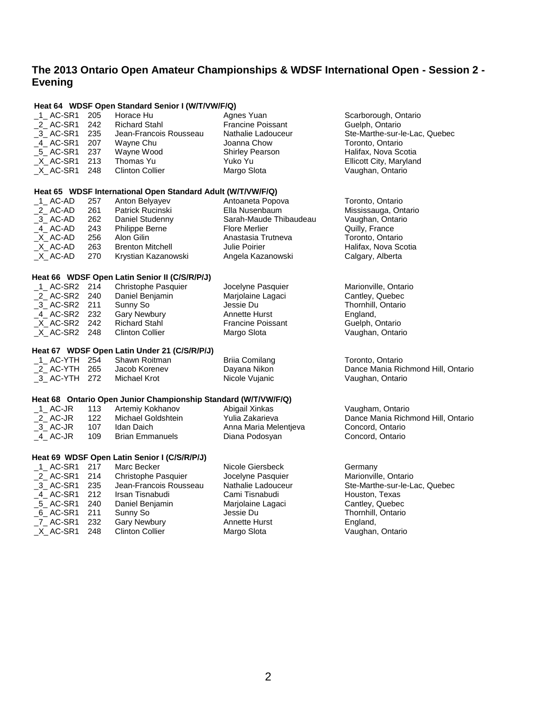## **The 2013 Ontario Open Amateur Championships & WDSF International Open - Session 2 - Evening**

\_1\_ AC-SR1 205 Horace Hu Agnes Yuan Scarborough, Ontario

**Heat 64 WDSF Open Standard Senior I (W/T/VW/F/Q)**

| _2_ AC-SR1                          | 242 | <b>Richard Stahl</b>                                           | <b>Francine Poissant</b> | Guelph, Ontario                    |
|-------------------------------------|-----|----------------------------------------------------------------|--------------------------|------------------------------------|
| $-3$ AC-SR1                         | 235 | Jean-Francois Rousseau                                         | Nathalie Ladouceur       | Ste-Marthe-sur-le-Lac, Quebec      |
| $-4$ AC-SR1                         | 207 | Wayne Chu                                                      | Joanna Chow              | Toronto, Ontario                   |
| $-5$ AC-SR1                         | 237 | Wayne Wood                                                     | <b>Shirley Pearson</b>   | Halifax, Nova Scotia               |
| $X$ <sub>_</sub> AC-SR1             | 213 | Thomas Yu                                                      | Yuko Yu                  | Ellicott City, Maryland            |
| $X$ AC-SR1                          | 248 | <b>Clinton Collier</b>                                         | Margo Slota              | Vaughan, Ontario                   |
|                                     |     | Heat 65 WDSF International Open Standard Adult (W/T/VW/F/Q)    |                          |                                    |
| $-1$ AC-AD                          | 257 | Anton Belyayev                                                 | Antoaneta Popova         | Toronto, Ontario                   |
| $2$ AC-AD                           | 261 | Patrick Rucinski                                               | Ella Nusenbaum           | Mississauga, Ontario               |
| $-3$ AC-AD                          | 262 | Daniel Studenny                                                | Sarah-Maude Thibaudeau   | Vaughan, Ontario                   |
| $-4$ AC-AD                          | 243 | Philippe Berne                                                 | Flore Merlier            | Quilly, France                     |
| $X$ AC-AD                           | 256 | Alon Gilin                                                     | Anastasia Trutneva       | Toronto, Ontario                   |
| $X$ AC-AD                           | 263 | <b>Brenton Mitchell</b>                                        | Julie Poirier            | Halifax, Nova Scotia               |
| $X$ <sub><math>-</math></sub> AC-AD | 270 | Krystian Kazanowski                                            | Angela Kazanowski        | Calgary, Alberta                   |
|                                     |     |                                                                |                          |                                    |
|                                     |     | Heat 66 WDSF Open Latin Senior II (C/S/R/P/J)                  |                          |                                    |
| 1_AC-SR2 214                        |     | Christophe Pasquier                                            | Jocelyne Pasquier        | Marionville, Ontario               |
| _2_ AC-SR2 240                      |     | Daniel Benjamin                                                | Marjolaine Lagaci        | Cantley, Quebec                    |
| _3_ AC-SR2 211                      |     | Sunny So                                                       | Jessie Du                | Thornhill, Ontario                 |
| _4_AC-SR2 232                       |     | Gary Newbury                                                   | <b>Annette Hurst</b>     | England,                           |
| $X$ AC-SR2 242                      |     | <b>Richard Stahl</b>                                           | <b>Francine Poissant</b> | Guelph, Ontario                    |
| $X$ AC-SR2 248                      |     | <b>Clinton Collier</b>                                         | Margo Slota              | Vaughan, Ontario                   |
|                                     |     | Heat 67 WDSF Open Latin Under 21 (C/S/R/P/J)                   |                          |                                    |
| $1$ <sub>_</sub> AC-YTH 254         |     | Shawn Roitman                                                  | <b>Briia Comilang</b>    | Toronto, Ontario                   |
| 2 AC-YTH                            | 265 | Jacob Korenev                                                  | Dayana Nikon             | Dance Mania Richmond Hill, Ontario |
| _3_ AC-YTH 272                      |     | Michael Krot                                                   | Nicole Vujanic           | Vaughan, Ontario                   |
|                                     |     | Heat 68 Ontario Open Junior Championship Standard (W/T/VW/F/Q) |                          |                                    |
| $1$ AC-JR                           | 113 | Artemiy Kokhanov                                               | Abigail Xinkas           | Vaugham, Ontario                   |
| $2$ AC-JR                           | 122 | Michael Goldshtein                                             | Yulia Zakarieva          | Dance Mania Richmond Hill, Ontario |
| $-3$ AC-JR                          | 107 | Idan Daich                                                     | Anna Maria Melentjeva    | Concord, Ontario                   |
| $-4$ AC-JR                          | 109 | <b>Brian Emmanuels</b>                                         | Diana Podosyan           | Concord, Ontario                   |
|                                     |     | Heat 69 WDSF Open Latin Senior I (C/S/R/P/J)                   |                          |                                    |
| $_1$ AC-SR1                         | 217 | Marc Becker                                                    | Nicole Giersbeck         | Germany                            |
| 2 AC-SR1                            | 214 | Christophe Pasquier                                            | Jocelyne Pasquier        | Marionville, Ontario               |
| $-3$ AC-SR1                         | 235 | Jean-Francois Rousseau                                         | Nathalie Ladouceur       | Ste-Marthe-sur-le-Lac, Quebec      |
| $-4$ AC-SR1                         | 212 | Irsan Tisnabudi                                                | Cami Tisnabudi           | Houston, Texas                     |
| $-5$ AC-SR1                         | 240 | Daniel Benjamin                                                | Marjolaine Lagaci        | Cantley, Quebec                    |
| $6$ AC-SR1                          | 211 | Sunny So                                                       | Jessie Du                | Thornhill, Ontario                 |
| $Z$ AC-SR1                          | 232 | <b>Gary Newbury</b>                                            | Annette Hurst            | England,                           |
| X AC-SR1                            | 248 | <b>Clinton Collier</b>                                         | Margo Slota              | Vaughan, Ontario                   |
|                                     |     |                                                                |                          |                                    |